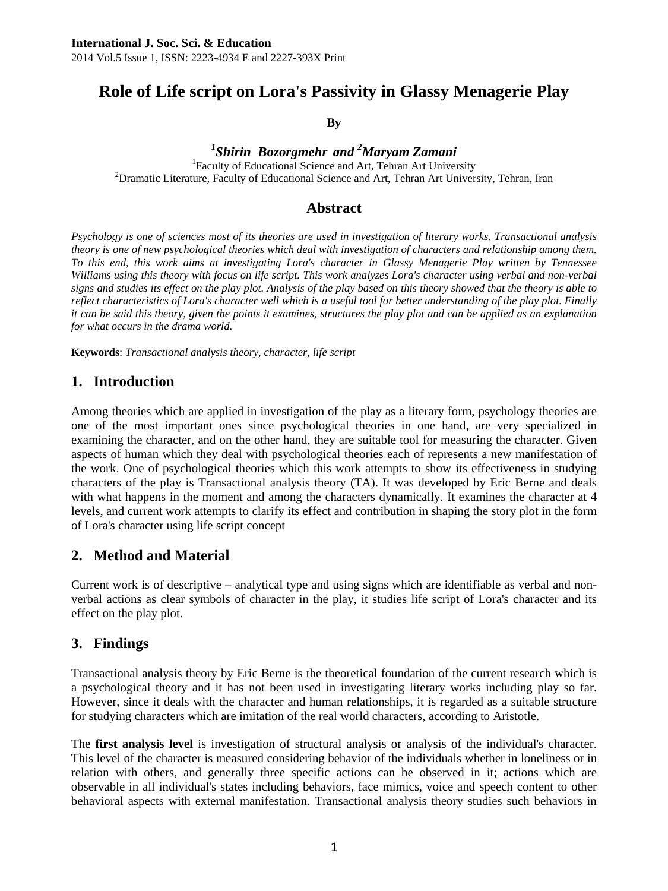# **Role of Life script on Lora's Passivity in Glassy Menagerie Play**

**By** 

*1 Shirin Bozorgmehr and <sup>2</sup> Maryam Zamani* <sup>1</sup>

<sup>1</sup>Faculty of Educational Science and Art, Tehran Art University <sup>2</sup> Dramatic Literature, Faculty of Educational Science and Art, Tehran Art University, Tehran, Iran

### **Abstract**

*Psychology is one of sciences most of its theories are used in investigation of literary works. Transactional analysis theory is one of new psychological theories which deal with investigation of characters and relationship among them. To this end, this work aims at investigating Lora's character in Glassy Menagerie Play written by Tennessee Williams using this theory with focus on life script. This work analyzes Lora's character using verbal and non-verbal signs and studies its effect on the play plot. Analysis of the play based on this theory showed that the theory is able to reflect characteristics of Lora's character well which is a useful tool for better understanding of the play plot. Finally it can be said this theory, given the points it examines, structures the play plot and can be applied as an explanation for what occurs in the drama world.* 

**Keywords**: *Transactional analysis theory, character, life script* 

#### **1. Introduction**

Among theories which are applied in investigation of the play as a literary form, psychology theories are one of the most important ones since psychological theories in one hand, are very specialized in examining the character, and on the other hand, they are suitable tool for measuring the character. Given aspects of human which they deal with psychological theories each of represents a new manifestation of the work. One of psychological theories which this work attempts to show its effectiveness in studying characters of the play is Transactional analysis theory (TA). It was developed by Eric Berne and deals with what happens in the moment and among the characters dynamically. It examines the character at 4 levels, and current work attempts to clarify its effect and contribution in shaping the story plot in the form of Lora's character using life script concept

#### **2. Method and Material**

Current work is of descriptive – analytical type and using signs which are identifiable as verbal and nonverbal actions as clear symbols of character in the play, it studies life script of Lora's character and its effect on the play plot.

#### **3. Findings**

Transactional analysis theory by Eric Berne is the theoretical foundation of the current research which is a psychological theory and it has not been used in investigating literary works including play so far. However, since it deals with the character and human relationships, it is regarded as a suitable structure for studying characters which are imitation of the real world characters, according to Aristotle.

The **first analysis level** is investigation of structural analysis or analysis of the individual's character. This level of the character is measured considering behavior of the individuals whether in loneliness or in relation with others, and generally three specific actions can be observed in it; actions which are observable in all individual's states including behaviors, face mimics, voice and speech content to other behavioral aspects with external manifestation. Transactional analysis theory studies such behaviors in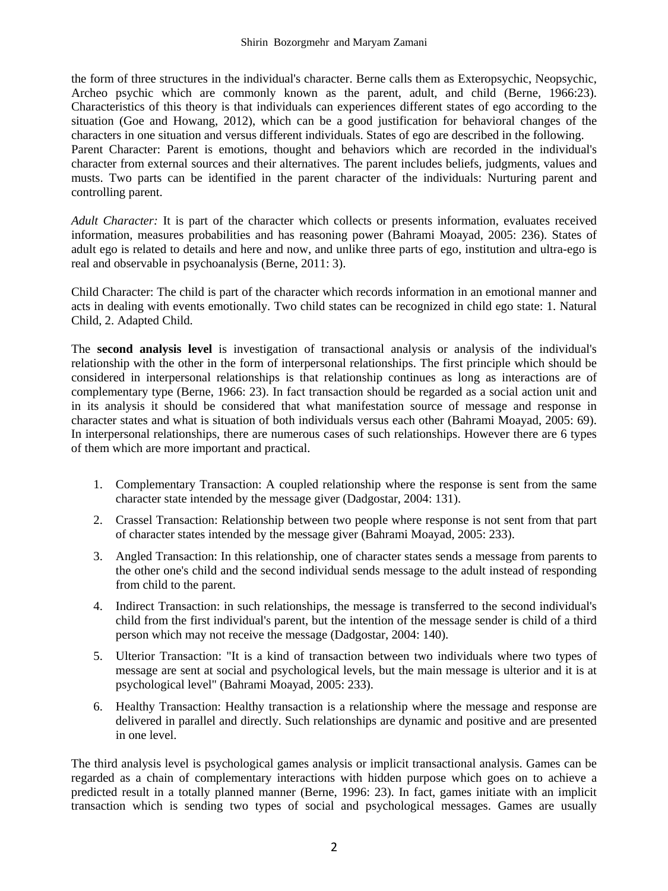the form of three structures in the individual's character. Berne calls them as Exteropsychic, Neopsychic, Archeo psychic which are commonly known as the parent, adult, and child (Berne, 1966:23). Characteristics of this theory is that individuals can experiences different states of ego according to the situation (Goe and Howang, 2012), which can be a good justification for behavioral changes of the characters in one situation and versus different individuals. States of ego are described in the following. Parent Character: Parent is emotions, thought and behaviors which are recorded in the individual's character from external sources and their alternatives. The parent includes beliefs, judgments, values and musts. Two parts can be identified in the parent character of the individuals: Nurturing parent and controlling parent.

*Adult Character:* It is part of the character which collects or presents information, evaluates received information, measures probabilities and has reasoning power (Bahrami Moayad, 2005: 236). States of adult ego is related to details and here and now, and unlike three parts of ego, institution and ultra-ego is real and observable in psychoanalysis (Berne, 2011: 3).

Child Character: The child is part of the character which records information in an emotional manner and acts in dealing with events emotionally. Two child states can be recognized in child ego state: 1. Natural Child, 2. Adapted Child.

The **second analysis level** is investigation of transactional analysis or analysis of the individual's relationship with the other in the form of interpersonal relationships. The first principle which should be considered in interpersonal relationships is that relationship continues as long as interactions are of complementary type (Berne, 1966: 23). In fact transaction should be regarded as a social action unit and in its analysis it should be considered that what manifestation source of message and response in character states and what is situation of both individuals versus each other (Bahrami Moayad, 2005: 69). In interpersonal relationships, there are numerous cases of such relationships. However there are 6 types of them which are more important and practical.

- 1. Complementary Transaction: A coupled relationship where the response is sent from the same character state intended by the message giver (Dadgostar, 2004: 131).
- 2. Crassel Transaction: Relationship between two people where response is not sent from that part of character states intended by the message giver (Bahrami Moayad, 2005: 233).
- 3. Angled Transaction: In this relationship, one of character states sends a message from parents to the other one's child and the second individual sends message to the adult instead of responding from child to the parent.
- 4. Indirect Transaction: in such relationships, the message is transferred to the second individual's child from the first individual's parent, but the intention of the message sender is child of a third person which may not receive the message (Dadgostar, 2004: 140).
- 5. Ulterior Transaction: "It is a kind of transaction between two individuals where two types of message are sent at social and psychological levels, but the main message is ulterior and it is at psychological level" (Bahrami Moayad, 2005: 233).
- 6. Healthy Transaction: Healthy transaction is a relationship where the message and response are delivered in parallel and directly. Such relationships are dynamic and positive and are presented in one level.

The third analysis level is psychological games analysis or implicit transactional analysis. Games can be regarded as a chain of complementary interactions with hidden purpose which goes on to achieve a predicted result in a totally planned manner (Berne, 1996: 23). In fact, games initiate with an implicit transaction which is sending two types of social and psychological messages. Games are usually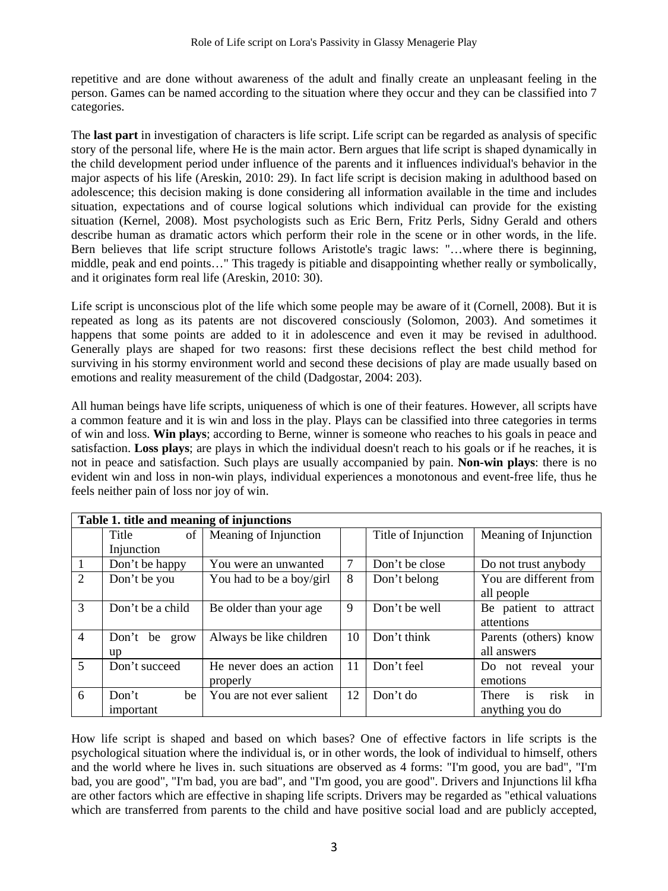repetitive and are done without awareness of the adult and finally create an unpleasant feeling in the person. Games can be named according to the situation where they occur and they can be classified into 7 categories.

The **last part** in investigation of characters is life script. Life script can be regarded as analysis of specific story of the personal life, where He is the main actor. Bern argues that life script is shaped dynamically in the child development period under influence of the parents and it influences individual's behavior in the major aspects of his life (Areskin, 2010: 29). In fact life script is decision making in adulthood based on adolescence; this decision making is done considering all information available in the time and includes situation, expectations and of course logical solutions which individual can provide for the existing situation (Kernel, 2008). Most psychologists such as Eric Bern, Fritz Perls, Sidny Gerald and others describe human as dramatic actors which perform their role in the scene or in other words, in the life. Bern believes that life script structure follows Aristotle's tragic laws: "…where there is beginning, middle, peak and end points…" This tragedy is pitiable and disappointing whether really or symbolically, and it originates form real life (Areskin, 2010: 30).

Life script is unconscious plot of the life which some people may be aware of it (Cornell, 2008). But it is repeated as long as its patents are not discovered consciously (Solomon, 2003). And sometimes it happens that some points are added to it in adolescence and even it may be revised in adulthood. Generally plays are shaped for two reasons: first these decisions reflect the best child method for surviving in his stormy environment world and second these decisions of play are made usually based on emotions and reality measurement of the child (Dadgostar, 2004: 203).

All human beings have life scripts, uniqueness of which is one of their features. However, all scripts have a common feature and it is win and loss in the play. Plays can be classified into three categories in terms of win and loss. **Win plays**; according to Berne, winner is someone who reaches to his goals in peace and satisfaction. **Loss plays**; are plays in which the individual doesn't reach to his goals or if he reaches, it is not in peace and satisfaction. Such plays are usually accompanied by pain. **Non-win plays**: there is no evident win and loss in non-win plays, individual experiences a monotonous and event-free life, thus he feels neither pain of loss nor joy of win.

| Table 1. title and meaning of injunctions |                  |                          |    |                     |                           |
|-------------------------------------------|------------------|--------------------------|----|---------------------|---------------------------|
|                                           | Title<br>of      | Meaning of Injunction    |    | Title of Injunction | Meaning of Injunction     |
|                                           | Injunction       |                          |    |                     |                           |
|                                           | Don't be happy   | You were an unwanted     | 7  | Don't be close      | Do not trust anybody      |
| $\mathfrak{D}$                            | Don't be you     | You had to be a boy/girl | 8  | Don't belong        | You are different from    |
|                                           |                  |                          |    |                     | all people                |
| 3                                         | Don't be a child | Be older than your age   | 9  | Don't be well       | Be patient to attract     |
|                                           |                  |                          |    |                     | attentions                |
| $\overline{4}$                            | Don't be grow    | Always be like children  | 10 | Don't think         | Parents (others) know     |
|                                           | up               |                          |    |                     | all answers               |
| 5                                         | Don't succeed    | He never does an action  | 11 | Don't feel          | Do not reveal<br>your     |
|                                           |                  | properly                 |    |                     | emotions                  |
| 6                                         | Don't<br>be      | You are not ever salient | 12 | Don't do            | in<br>is<br>risk<br>There |
|                                           | important        |                          |    |                     | anything you do           |

How life script is shaped and based on which bases? One of effective factors in life scripts is the psychological situation where the individual is, or in other words, the look of individual to himself, others and the world where he lives in. such situations are observed as 4 forms: "I'm good, you are bad", "I'm bad, you are good", "I'm bad, you are bad", and "I'm good, you are good". Drivers and Injunctions lil kfha are other factors which are effective in shaping life scripts. Drivers may be regarded as "ethical valuations which are transferred from parents to the child and have positive social load and are publicly accepted,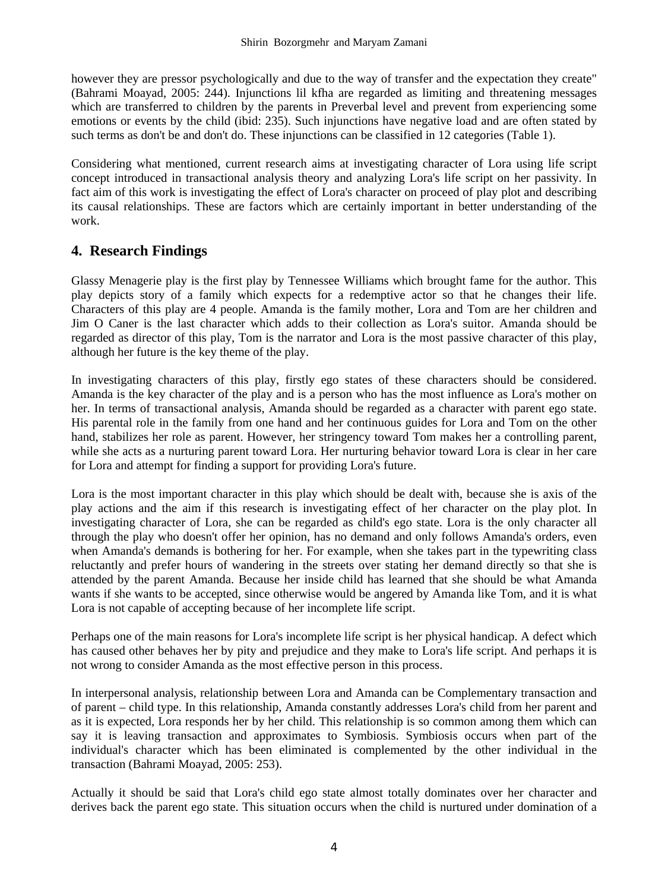however they are pressor psychologically and due to the way of transfer and the expectation they create" (Bahrami Moayad, 2005: 244). Injunctions lil kfha are regarded as limiting and threatening messages which are transferred to children by the parents in Preverbal level and prevent from experiencing some emotions or events by the child (ibid: 235). Such injunctions have negative load and are often stated by such terms as don't be and don't do. These injunctions can be classified in 12 categories (Table 1).

Considering what mentioned, current research aims at investigating character of Lora using life script concept introduced in transactional analysis theory and analyzing Lora's life script on her passivity. In fact aim of this work is investigating the effect of Lora's character on proceed of play plot and describing its causal relationships. These are factors which are certainly important in better understanding of the work.

## **4. Research Findings**

Glassy Menagerie play is the first play by Tennessee Williams which brought fame for the author. This play depicts story of a family which expects for a redemptive actor so that he changes their life. Characters of this play are 4 people. Amanda is the family mother, Lora and Tom are her children and Jim O Caner is the last character which adds to their collection as Lora's suitor. Amanda should be regarded as director of this play, Tom is the narrator and Lora is the most passive character of this play, although her future is the key theme of the play.

In investigating characters of this play, firstly ego states of these characters should be considered. Amanda is the key character of the play and is a person who has the most influence as Lora's mother on her. In terms of transactional analysis, Amanda should be regarded as a character with parent ego state. His parental role in the family from one hand and her continuous guides for Lora and Tom on the other hand, stabilizes her role as parent. However, her stringency toward Tom makes her a controlling parent, while she acts as a nurturing parent toward Lora. Her nurturing behavior toward Lora is clear in her care for Lora and attempt for finding a support for providing Lora's future.

Lora is the most important character in this play which should be dealt with, because she is axis of the play actions and the aim if this research is investigating effect of her character on the play plot. In investigating character of Lora, she can be regarded as child's ego state. Lora is the only character all through the play who doesn't offer her opinion, has no demand and only follows Amanda's orders, even when Amanda's demands is bothering for her. For example, when she takes part in the typewriting class reluctantly and prefer hours of wandering in the streets over stating her demand directly so that she is attended by the parent Amanda. Because her inside child has learned that she should be what Amanda wants if she wants to be accepted, since otherwise would be angered by Amanda like Tom, and it is what Lora is not capable of accepting because of her incomplete life script.

Perhaps one of the main reasons for Lora's incomplete life script is her physical handicap. A defect which has caused other behaves her by pity and prejudice and they make to Lora's life script. And perhaps it is not wrong to consider Amanda as the most effective person in this process.

In interpersonal analysis, relationship between Lora and Amanda can be Complementary transaction and of parent – child type. In this relationship, Amanda constantly addresses Lora's child from her parent and as it is expected, Lora responds her by her child. This relationship is so common among them which can say it is leaving transaction and approximates to Symbiosis. Symbiosis occurs when part of the individual's character which has been eliminated is complemented by the other individual in the transaction (Bahrami Moayad, 2005: 253).

Actually it should be said that Lora's child ego state almost totally dominates over her character and derives back the parent ego state. This situation occurs when the child is nurtured under domination of a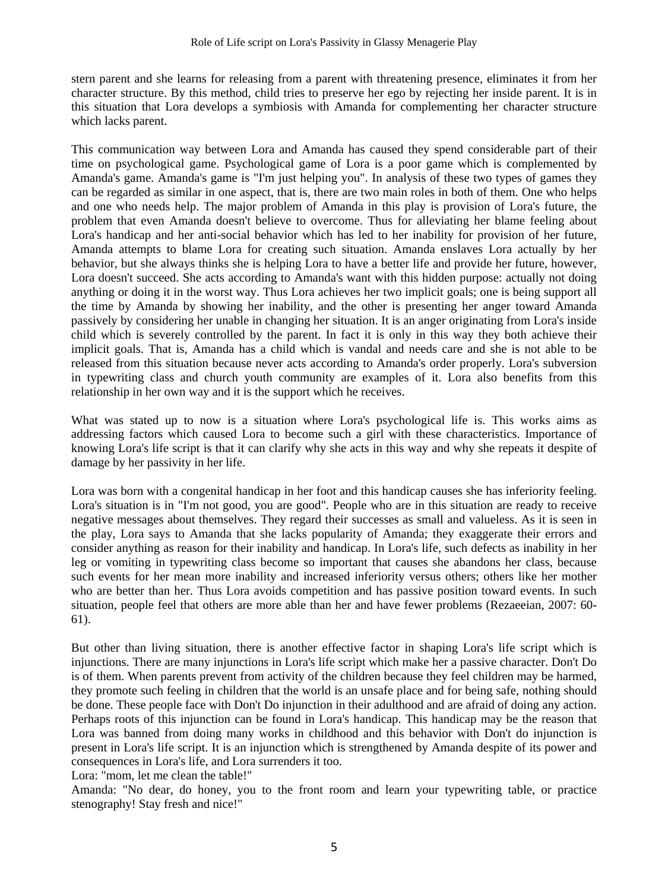stern parent and she learns for releasing from a parent with threatening presence, eliminates it from her character structure. By this method, child tries to preserve her ego by rejecting her inside parent. It is in this situation that Lora develops a symbiosis with Amanda for complementing her character structure which lacks parent.

This communication way between Lora and Amanda has caused they spend considerable part of their time on psychological game. Psychological game of Lora is a poor game which is complemented by Amanda's game. Amanda's game is "I'm just helping you". In analysis of these two types of games they can be regarded as similar in one aspect, that is, there are two main roles in both of them. One who helps and one who needs help. The major problem of Amanda in this play is provision of Lora's future, the problem that even Amanda doesn't believe to overcome. Thus for alleviating her blame feeling about Lora's handicap and her anti-social behavior which has led to her inability for provision of her future, Amanda attempts to blame Lora for creating such situation. Amanda enslaves Lora actually by her behavior, but she always thinks she is helping Lora to have a better life and provide her future, however, Lora doesn't succeed. She acts according to Amanda's want with this hidden purpose: actually not doing anything or doing it in the worst way. Thus Lora achieves her two implicit goals; one is being support all the time by Amanda by showing her inability, and the other is presenting her anger toward Amanda passively by considering her unable in changing her situation. It is an anger originating from Lora's inside child which is severely controlled by the parent. In fact it is only in this way they both achieve their implicit goals. That is, Amanda has a child which is vandal and needs care and she is not able to be released from this situation because never acts according to Amanda's order properly. Lora's subversion in typewriting class and church youth community are examples of it. Lora also benefits from this relationship in her own way and it is the support which he receives.

What was stated up to now is a situation where Lora's psychological life is. This works aims as addressing factors which caused Lora to become such a girl with these characteristics. Importance of knowing Lora's life script is that it can clarify why she acts in this way and why she repeats it despite of damage by her passivity in her life.

Lora was born with a congenital handicap in her foot and this handicap causes she has inferiority feeling. Lora's situation is in "I'm not good, you are good". People who are in this situation are ready to receive negative messages about themselves. They regard their successes as small and valueless. As it is seen in the play, Lora says to Amanda that she lacks popularity of Amanda; they exaggerate their errors and consider anything as reason for their inability and handicap. In Lora's life, such defects as inability in her leg or vomiting in typewriting class become so important that causes she abandons her class, because such events for her mean more inability and increased inferiority versus others; others like her mother who are better than her. Thus Lora avoids competition and has passive position toward events. In such situation, people feel that others are more able than her and have fewer problems (Rezaeeian, 2007: 60- 61).

But other than living situation, there is another effective factor in shaping Lora's life script which is injunctions. There are many injunctions in Lora's life script which make her a passive character. Don't Do is of them. When parents prevent from activity of the children because they feel children may be harmed, they promote such feeling in children that the world is an unsafe place and for being safe, nothing should be done. These people face with Don't Do injunction in their adulthood and are afraid of doing any action. Perhaps roots of this injunction can be found in Lora's handicap. This handicap may be the reason that Lora was banned from doing many works in childhood and this behavior with Don't do injunction is present in Lora's life script. It is an injunction which is strengthened by Amanda despite of its power and consequences in Lora's life, and Lora surrenders it too.

Lora: "mom, let me clean the table!"

Amanda: "No dear, do honey, you to the front room and learn your typewriting table, or practice stenography! Stay fresh and nice!"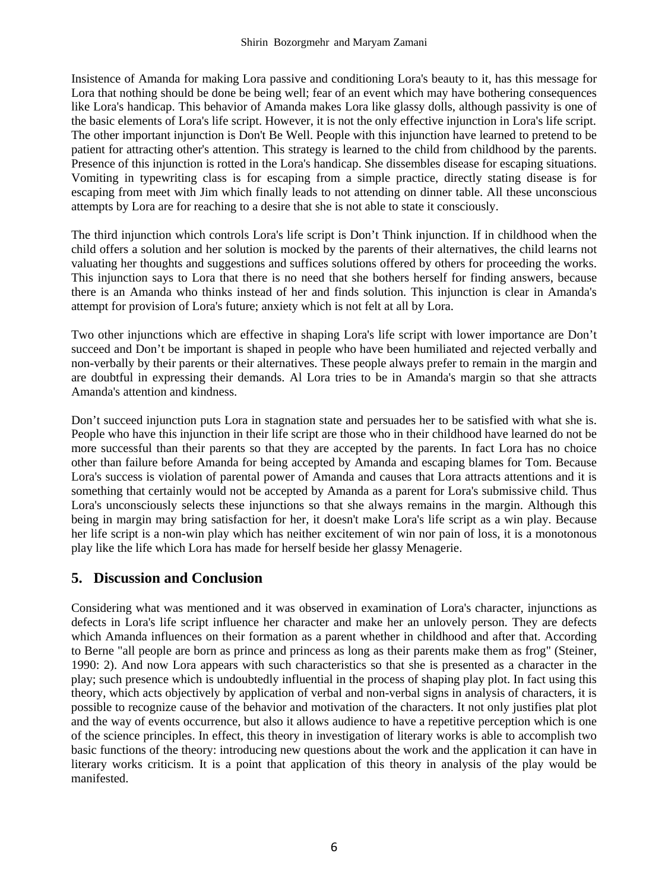Insistence of Amanda for making Lora passive and conditioning Lora's beauty to it, has this message for Lora that nothing should be done be being well; fear of an event which may have bothering consequences like Lora's handicap. This behavior of Amanda makes Lora like glassy dolls, although passivity is one of the basic elements of Lora's life script. However, it is not the only effective injunction in Lora's life script. The other important injunction is Don't Be Well. People with this injunction have learned to pretend to be patient for attracting other's attention. This strategy is learned to the child from childhood by the parents. Presence of this injunction is rotted in the Lora's handicap. She dissembles disease for escaping situations. Vomiting in typewriting class is for escaping from a simple practice, directly stating disease is for escaping from meet with Jim which finally leads to not attending on dinner table. All these unconscious attempts by Lora are for reaching to a desire that she is not able to state it consciously.

The third injunction which controls Lora's life script is Don't Think injunction. If in childhood when the child offers a solution and her solution is mocked by the parents of their alternatives, the child learns not valuating her thoughts and suggestions and suffices solutions offered by others for proceeding the works. This injunction says to Lora that there is no need that she bothers herself for finding answers, because there is an Amanda who thinks instead of her and finds solution. This injunction is clear in Amanda's attempt for provision of Lora's future; anxiety which is not felt at all by Lora.

Two other injunctions which are effective in shaping Lora's life script with lower importance are Don't succeed and Don't be important is shaped in people who have been humiliated and rejected verbally and non-verbally by their parents or their alternatives. These people always prefer to remain in the margin and are doubtful in expressing their demands. Al Lora tries to be in Amanda's margin so that she attracts Amanda's attention and kindness.

Don't succeed injunction puts Lora in stagnation state and persuades her to be satisfied with what she is. People who have this injunction in their life script are those who in their childhood have learned do not be more successful than their parents so that they are accepted by the parents. In fact Lora has no choice other than failure before Amanda for being accepted by Amanda and escaping blames for Tom. Because Lora's success is violation of parental power of Amanda and causes that Lora attracts attentions and it is something that certainly would not be accepted by Amanda as a parent for Lora's submissive child. Thus Lora's unconsciously selects these injunctions so that she always remains in the margin. Although this being in margin may bring satisfaction for her, it doesn't make Lora's life script as a win play. Because her life script is a non-win play which has neither excitement of win nor pain of loss, it is a monotonous play like the life which Lora has made for herself beside her glassy Menagerie.

## **5. Discussion and Conclusion**

Considering what was mentioned and it was observed in examination of Lora's character, injunctions as defects in Lora's life script influence her character and make her an unlovely person. They are defects which Amanda influences on their formation as a parent whether in childhood and after that. According to Berne "all people are born as prince and princess as long as their parents make them as frog" (Steiner, 1990: 2). And now Lora appears with such characteristics so that she is presented as a character in the play; such presence which is undoubtedly influential in the process of shaping play plot. In fact using this theory, which acts objectively by application of verbal and non-verbal signs in analysis of characters, it is possible to recognize cause of the behavior and motivation of the characters. It not only justifies plat plot and the way of events occurrence, but also it allows audience to have a repetitive perception which is one of the science principles. In effect, this theory in investigation of literary works is able to accomplish two basic functions of the theory: introducing new questions about the work and the application it can have in literary works criticism. It is a point that application of this theory in analysis of the play would be manifested.